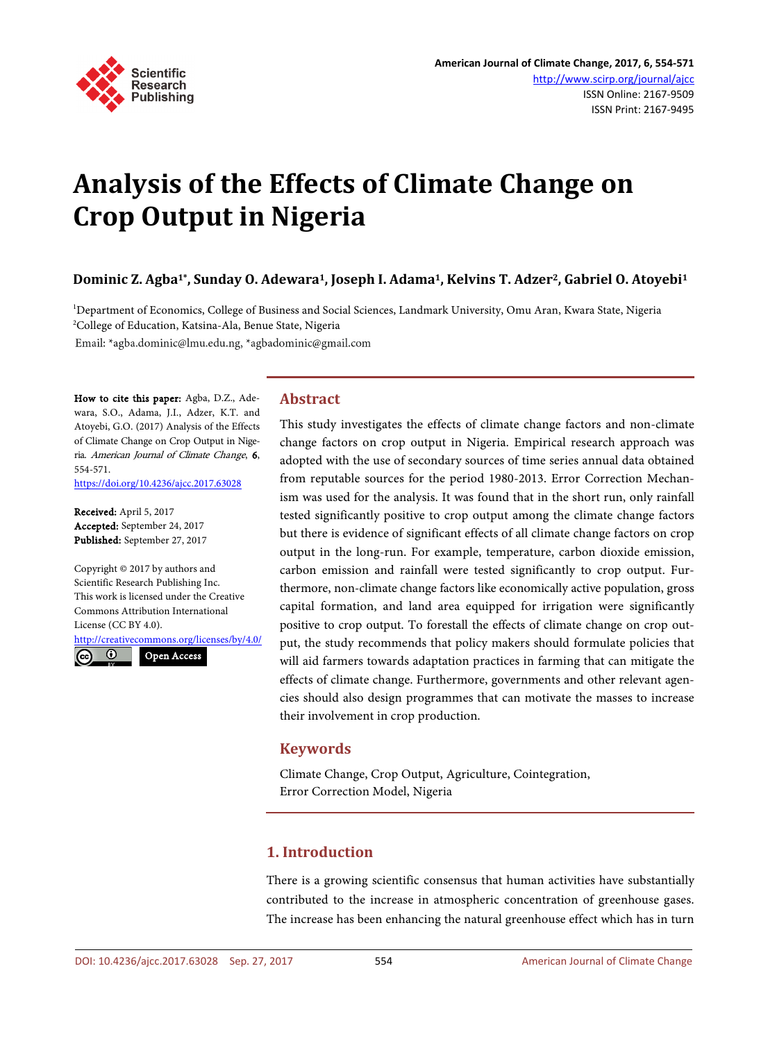

# **Analysis of the Effects of Climate Change on Crop Output in Nigeria**

# **Dominic Z. Agba1\*, Sunday O. Adewara1, Joseph I. Adama1, Kelvins T. Adzer2, Gabriel O. Atoyebi1**

1 Department of Economics, College of Business and Social Sciences, Landmark University, Omu Aran, Kwara State, Nigeria 2 College of Education, Katsina-Ala, Benue State, Nigeria

Email: \*agba.dominic@lmu.edu.ng, \*agbadominic@gmail.com

How to cite this paper: Agba, D.Z., Adewara, S.O., Adama, J.I., Adzer, K.T. and Atoyebi, G.O. (2017) Analysis of the Effects of Climate Change on Crop Output in Nigeria. American Journal of Climate Change, 6, 554-571.

<https://doi.org/10.4236/ajcc.2017.63028>

Received: April 5, 2017 Accepted: September 24, 2017 Published: September 27, 2017

Copyright © 2017 by authors and Scientific Research Publishing Inc. This work is licensed under the Creative Commons Attribution International License (CC BY 4.0).

<http://creativecommons.org/licenses/by/4.0/> Open Access

 $\odot$ 

**Abstract**

This study investigates the effects of climate change factors and non-climate change factors on crop output in Nigeria. Empirical research approach was adopted with the use of secondary sources of time series annual data obtained from reputable sources for the period 1980-2013. Error Correction Mechanism was used for the analysis. It was found that in the short run, only rainfall tested significantly positive to crop output among the climate change factors but there is evidence of significant effects of all climate change factors on crop output in the long-run. For example, temperature, carbon dioxide emission, carbon emission and rainfall were tested significantly to crop output. Furthermore, non-climate change factors like economically active population, gross capital formation, and land area equipped for irrigation were significantly positive to crop output. To forestall the effects of climate change on crop output, the study recommends that policy makers should formulate policies that will aid farmers towards adaptation practices in farming that can mitigate the effects of climate change. Furthermore, governments and other relevant agencies should also design programmes that can motivate the masses to increase their involvement in crop production.

## **Keywords**

Climate Change, Crop Output, Agriculture, Cointegration, Error Correction Model, Nigeria

# **1. Introduction**

There is a growing scientific consensus that human activities have substantially contributed to the increase in atmospheric concentration of greenhouse gases. The increase has been enhancing the natural greenhouse effect which has in turn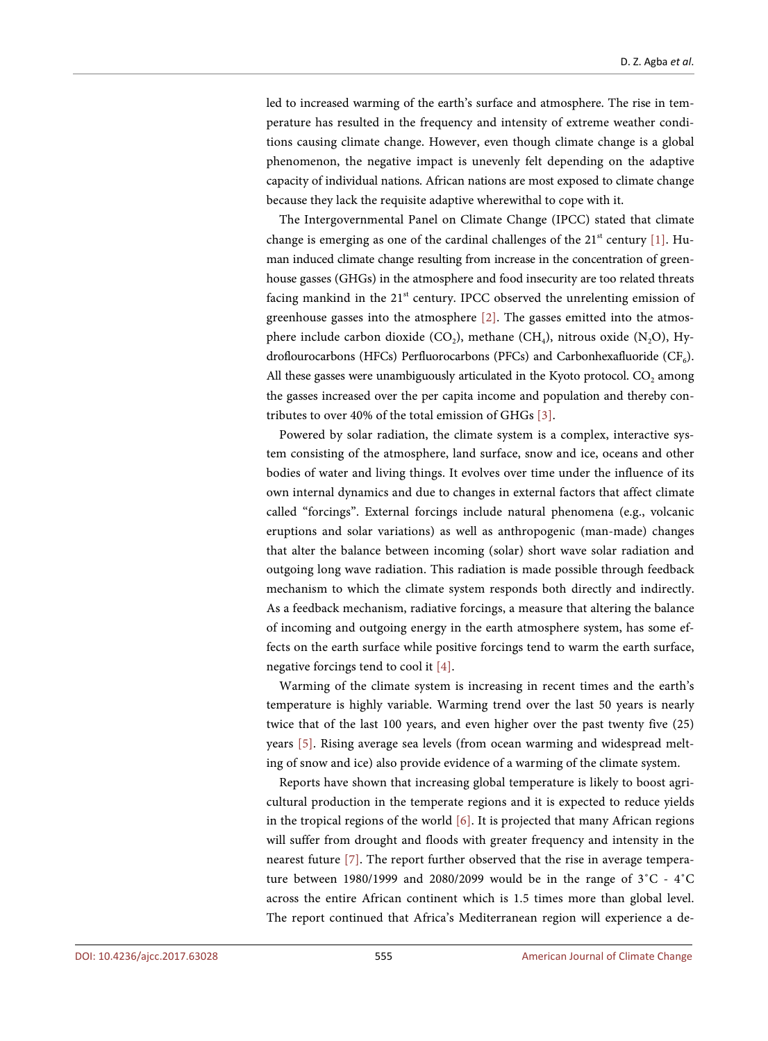led to increased warming of the earth's surface and atmosphere. The rise in temperature has resulted in the frequency and intensity of extreme weather conditions causing climate change. However, even though climate change is a global phenomenon, the negative impact is unevenly felt depending on the adaptive capacity of individual nations. African nations are most exposed to climate change because they lack the requisite adaptive wherewithal to cope with it.

The Intergovernmental Panel on Climate Change (IPCC) stated that climate change is emerging as one of the cardinal challenges of the  $21<sup>st</sup>$  century [\[1\].](#page-15-0) Human induced climate change resulting from increase in the concentration of greenhouse gasses (GHGs) in the atmosphere and food insecurity are too related threats facing mankind in the  $21<sup>st</sup>$  century. IPCC observed the unrelenting emission of greenhouse gasses into the atmosphere [\[2\].](#page-15-1) The gasses emitted into the atmosphere include carbon dioxide  $(CO<sub>2</sub>)$ , methane  $(CH<sub>4</sub>)$ , nitrous oxide  $(N<sub>2</sub>O)$ , Hydroflourocarbons (HFCs) Perfluorocarbons (PFCs) and Carbonhexafluoride  $(CF_6)$ . All these gasses were unambiguously articulated in the Kyoto protocol.  $CO<sub>2</sub>$  among the gasses increased over the per capita income and population and thereby contributes to over 40% of the total emission of GHGs [\[3\].](#page-15-2)

Powered by solar radiation, the climate system is a complex, interactive system consisting of the atmosphere, land surface, snow and ice, oceans and other bodies of water and living things. It evolves over time under the influence of its own internal dynamics and due to changes in external factors that affect climate called "forcings". External forcings include natural phenomena (e.g., volcanic eruptions and solar variations) as well as anthropogenic (man-made) changes that alter the balance between incoming (solar) short wave solar radiation and outgoing long wave radiation. This radiation is made possible through feedback mechanism to which the climate system responds both directly and indirectly. As a feedback mechanism, radiative forcings, a measure that altering the balance of incoming and outgoing energy in the earth atmosphere system, has some effects on the earth surface while positive forcings tend to warm the earth surface, negative forcings tend to cool it [\[4\].](#page-15-3)

Warming of the climate system is increasing in recent times and the earth's temperature is highly variable. Warming trend over the last 50 years is nearly twice that of the last 100 years, and even higher over the past twenty five (25) years [\[5\].](#page-15-4) Rising average sea levels (from ocean warming and widespread melting of snow and ice) also provide evidence of a warming of the climate system.

Reports have shown that increasing global temperature is likely to boost agricultural production in the temperate regions and it is expected to reduce yields in the tropical regions of the world [\[6\].](#page-15-5) It is projected that many African regions will suffer from drought and floods with greater frequency and intensity in the nearest future [\[7\].](#page-15-6) The report further observed that the rise in average temperature between 1980/1999 and 2080/2099 would be in the range of 3˚C - 4˚C across the entire African continent which is 1.5 times more than global level. The report continued that Africa's Mediterranean region will experience a de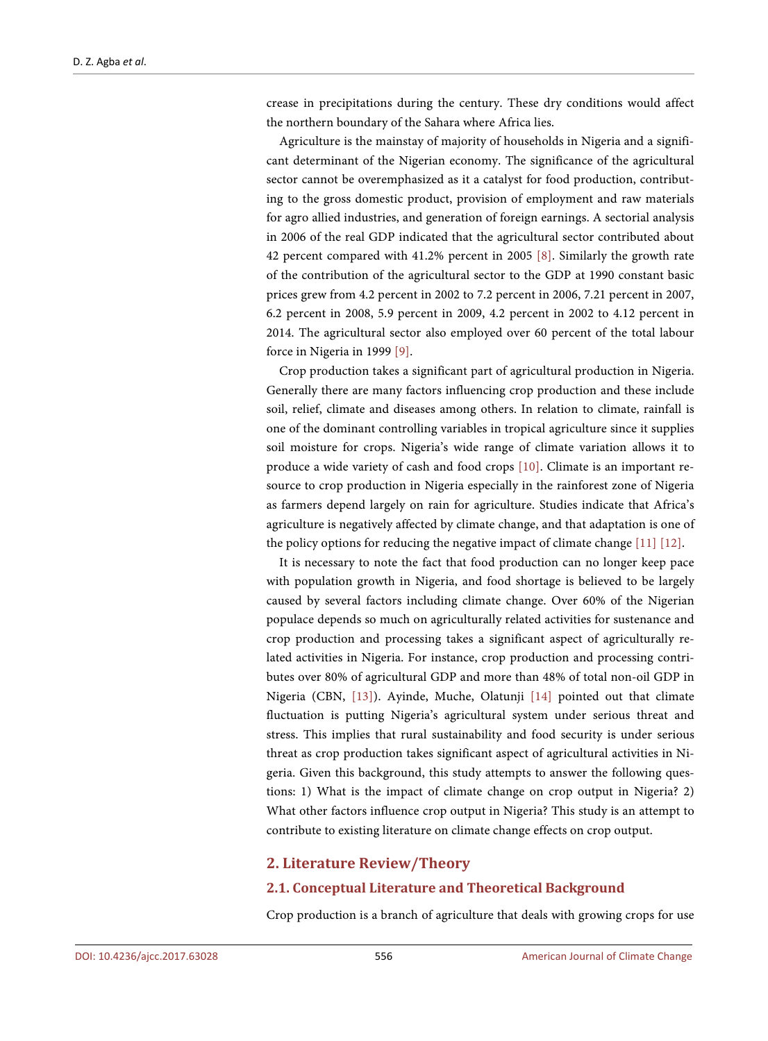crease in precipitations during the century. These dry conditions would affect the northern boundary of the Sahara where Africa lies.

Agriculture is the mainstay of majority of households in Nigeria and a significant determinant of the Nigerian economy. The significance of the agricultural sector cannot be overemphasized as it a catalyst for food production, contributing to the gross domestic product, provision of employment and raw materials for agro allied industries, and generation of foreign earnings. A sectorial analysis in 2006 of the real GDP indicated that the agricultural sector contributed about 42 percent compared with 41.2% percent in 2005 [\[8\].](#page-15-7) Similarly the growth rate of the contribution of the agricultural sector to the GDP at 1990 constant basic prices grew from 4.2 percent in 2002 to 7.2 percent in 2006, 7.21 percent in 2007, 6.2 percent in 2008, 5.9 percent in 2009, 4.2 percent in 2002 to 4.12 percent in 2014. The agricultural sector also employed over 60 percent of the total labour force in Nigeria in 1999 [\[9\].](#page-15-8)

Crop production takes a significant part of agricultural production in Nigeria. Generally there are many factors influencing crop production and these include soil, relief, climate and diseases among others. In relation to climate, rainfall is one of the dominant controlling variables in tropical agriculture since it supplies soil moisture for crops. Nigeria's wide range of climate variation allows it to produce a wide variety of cash and food crops [\[10\].](#page-15-9) Climate is an important resource to crop production in Nigeria especially in the rainforest zone of Nigeria as farmers depend largely on rain for agriculture. Studies indicate that Africa's agriculture is negatively affected by climate change, and that adaptation is one of the policy options for reducing the negative impact of climate change [\[11\]](#page-16-0) [\[12\].](#page-16-1)

It is necessary to note the fact that food production can no longer keep pace with population growth in Nigeria, and food shortage is believed to be largely caused by several factors including climate change. Over 60% of the Nigerian populace depends so much on agriculturally related activities for sustenance and crop production and processing takes a significant aspect of agriculturally related activities in Nigeria. For instance, crop production and processing contributes over 80% of agricultural GDP and more than 48% of total non-oil GDP in Nigeria (CBN, [\[13\]\)](#page-16-2). Ayinde, Muche, Olatunji [\[14\]](#page-16-3) pointed out that climate fluctuation is putting Nigeria's agricultural system under serious threat and stress. This implies that rural sustainability and food security is under serious threat as crop production takes significant aspect of agricultural activities in Nigeria. Given this background, this study attempts to answer the following questions: 1) What is the impact of climate change on crop output in Nigeria? 2) What other factors influence crop output in Nigeria? This study is an attempt to contribute to existing literature on climate change effects on crop output.

#### **2. Literature Review/Theory**

#### **2.1. Conceptual Literature and Theoretical Background**

Crop production is a branch of agriculture that deals with growing crops for use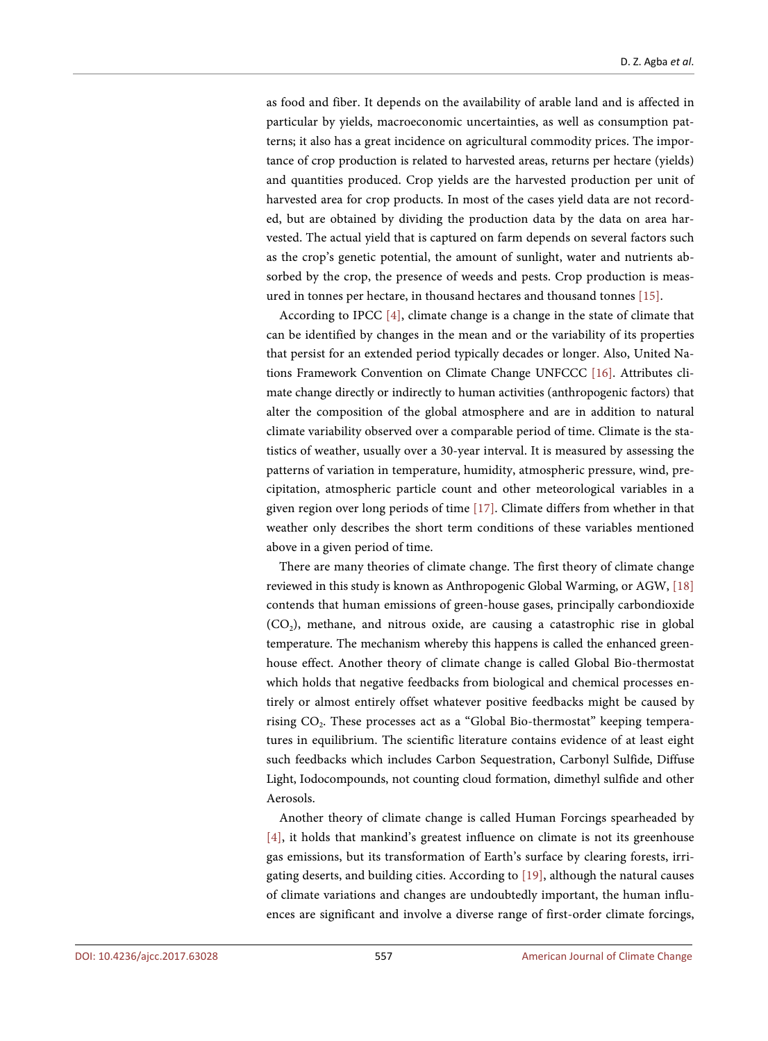as food and fiber. It depends on the availability of arable land and is affected in particular by yields, macroeconomic uncertainties, as well as consumption patterns; it also has a great incidence on agricultural commodity prices. The importance of crop production is related to harvested areas, returns per hectare (yields) and quantities produced. Crop yields are the harvested production per unit of harvested area for crop products. In most of the cases yield data are not recorded, but are obtained by dividing the production data by the data on area harvested. The actual yield that is captured on farm depends on several factors such as the crop's genetic potential, the amount of sunlight, water and nutrients absorbed by the crop, the presence of weeds and pests. Crop production is measured in tonnes per hectare, in thousand hectares and thousand tonnes [\[15\].](#page-16-4)

According to IPCC [\[4\],](#page-15-3) climate change is a change in the state of climate that can be identified by changes in the mean and or the variability of its properties that persist for an extended period typically decades or longer. Also, United Nations Framework Convention on Climate Change UNFCCC [\[16\].](#page-16-5) Attributes climate change directly or indirectly to human activities (anthropogenic factors) that alter the composition of the global atmosphere and are in addition to natural climate variability observed over a comparable period of time. Climate is the statistics of weather, usually over a 30-year interval. It is measured by assessing the patterns of variation in temperature, humidity, atmospheric pressure, wind, precipitation, atmospheric particle count and other meteorological variables in a given region over long periods of time [\[17\].](#page-16-6) Climate differs from whether in that weather only describes the short term conditions of these variables mentioned above in a given period of time.

There are many theories of climate change. The first theory of climate change reviewed in this study is known as Anthropogenic Global Warming, or AGW, [\[18\]](#page-16-7) contends that human emissions of green-house gases, principally carbondioxide  $(CO<sub>2</sub>)$ , methane, and nitrous oxide, are causing a catastrophic rise in global temperature. The mechanism whereby this happens is called the enhanced greenhouse effect. Another theory of climate change is called Global Bio-thermostat which holds that negative feedbacks from biological and chemical processes entirely or almost entirely offset whatever positive feedbacks might be caused by rising CO<sub>2</sub>. These processes act as a "Global Bio-thermostat" keeping temperatures in equilibrium. The scientific literature contains evidence of at least eight such feedbacks which includes Carbon Sequestration, Carbonyl Sulfide, Diffuse Light, Iodocompounds, not counting cloud formation, dimethyl sulfide and other Aerosols.

Another theory of climate change is called Human Forcings spearheaded by [\[4\],](#page-15-3) it holds that mankind's greatest influence on climate is not its greenhouse gas emissions, but its transformation of Earth's surface by clearing forests, irrigating deserts, and building cities. According to [\[19\],](#page-16-8) although the natural causes of climate variations and changes are undoubtedly important, the human influences are significant and involve a diverse range of first-order climate forcings,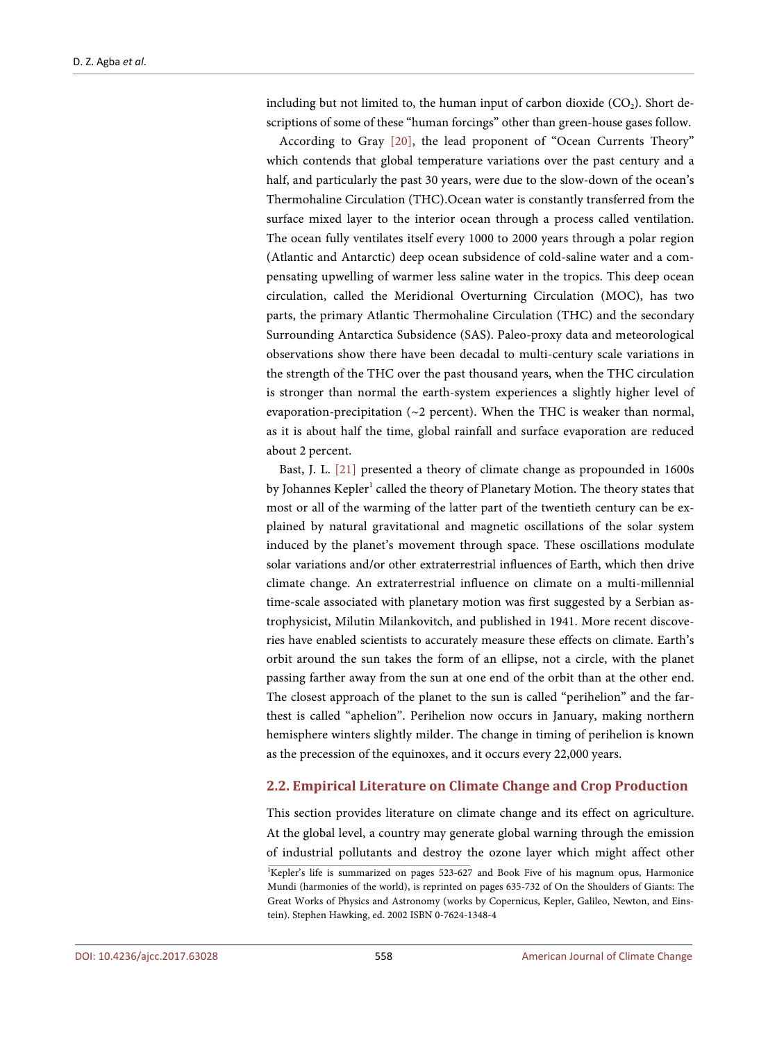including but not limited to, the human input of carbon dioxide  $(CO<sub>2</sub>)$ . Short descriptions of some of these "human forcings" other than green-house gases follow.

According to Gray [\[20\],](#page-16-9) the lead proponent of "Ocean Currents Theory" which contends that global temperature variations over the past century and a half, and particularly the past 30 years, were due to the slow-down of the ocean's Thermohaline Circulation (THC).Ocean water is constantly transferred from the surface mixed layer to the interior ocean through a process called ventilation. The ocean fully ventilates itself every 1000 to 2000 years through a polar region (Atlantic and Antarctic) deep ocean subsidence of cold-saline water and a compensating upwelling of warmer less saline water in the tropics. This deep ocean circulation, called the Meridional Overturning Circulation (MOC), has two parts, the primary Atlantic Thermohaline Circulation (THC) and the secondary Surrounding Antarctica Subsidence (SAS). Paleo-proxy data and meteorological observations show there have been decadal to multi-century scale variations in the strength of the THC over the past thousand years, when the THC circulation is stronger than normal the earth-system experiences a slightly higher level of evaporation-precipitation ( $\sim$ 2 percent). When the THC is weaker than normal, as it is about half the time, global rainfall and surface evaporation are reduced about 2 percent.

Bast, J. L. [\[21\]](#page-16-10) presented a theory of climate change as propounded in 1600s by Johannes Kepler<sup>1</sup> called the theory of Planetary Motion. The theory states that most or all of the warming of the latter part of the twentieth century can be explained by natural gravitational and magnetic oscillations of the solar system induced by the planet's movement through space. These oscillations modulate solar variations and/or other extraterrestrial influences of Earth, which then drive climate change. An extraterrestrial influence on climate on a multi-millennial time-scale associated with planetary motion was first suggested by a Serbian astrophysicist, Milutin Milankovitch, and published in 1941. More recent discoveries have enabled scientists to accurately measure these effects on climate. Earth's orbit around the sun takes the form of an ellipse, not a circle, with the planet passing farther away from the sun at one end of the orbit than at the other end. The closest approach of the planet to the sun is called "perihelion" and the farthest is called "aphelion". Perihelion now occurs in January, making northern hemisphere winters slightly milder. The change in timing of perihelion is known as the precession of the equinoxes, and it occurs every 22,000 years.

#### **2.2. Empirical Literature on Climate Change and Crop Production**

This section provides literature on climate change and its effect on agriculture. At the global level, a country may generate global warning through the emission of industrial pollutants and destroy the ozone layer which might affect other

<sup>1</sup> Kepler's life is summarized on pages 523-627 and Book Five of his magnum opus, Harmonice Mundi (harmonies of the world), is reprinted on pages 635-732 of On the Shoulders of Giants: The Great Works of Physics and Astronomy (works by Copernicus, Kepler, Galileo, Newton, and Einstein). Stephen Hawking, ed. 2002 ISBN 0-7624-1348-4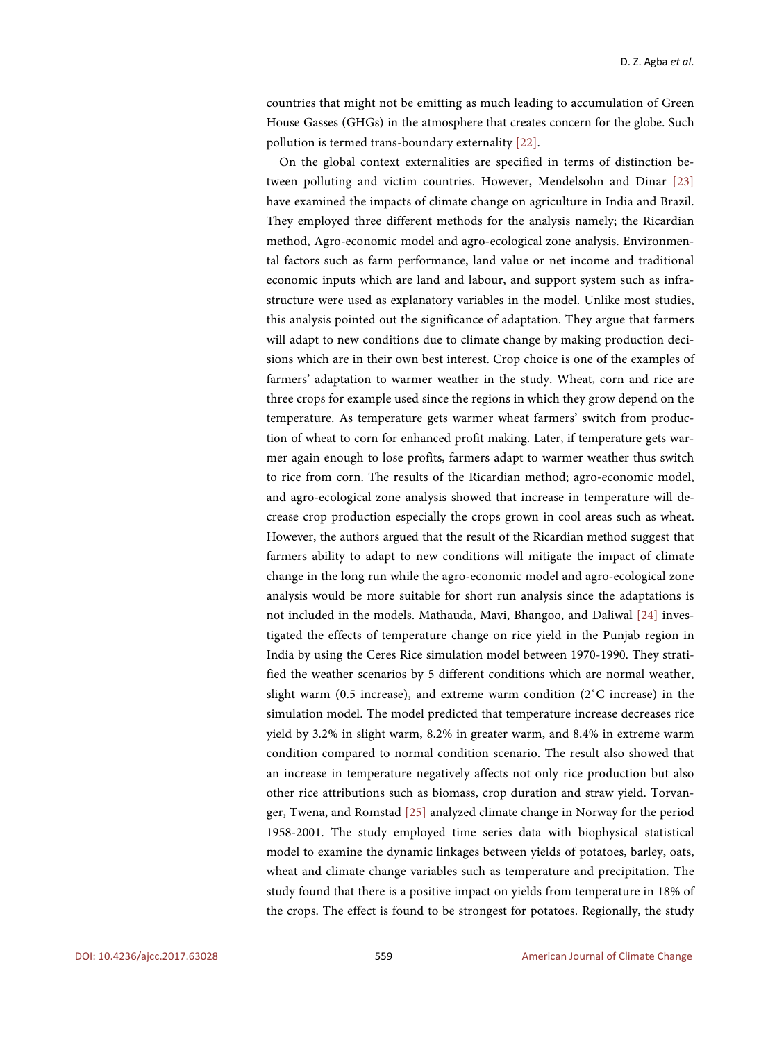countries that might not be emitting as much leading to accumulation of Green House Gasses (GHGs) in the atmosphere that creates concern for the globe. Such pollution is termed trans-boundary externality [\[22\].](#page-16-11)

On the global context externalities are specified in terms of distinction between polluting and victim countries. However, Mendelsohn and Dinar [\[23\]](#page-16-12) have examined the impacts of climate change on agriculture in India and Brazil. They employed three different methods for the analysis namely; the Ricardian method, Agro-economic model and agro-ecological zone analysis. Environmental factors such as farm performance, land value or net income and traditional economic inputs which are land and labour, and support system such as infrastructure were used as explanatory variables in the model. Unlike most studies, this analysis pointed out the significance of adaptation. They argue that farmers will adapt to new conditions due to climate change by making production decisions which are in their own best interest. Crop choice is one of the examples of farmers' adaptation to warmer weather in the study. Wheat, corn and rice are three crops for example used since the regions in which they grow depend on the temperature. As temperature gets warmer wheat farmers' switch from production of wheat to corn for enhanced profit making. Later, if temperature gets warmer again enough to lose profits, farmers adapt to warmer weather thus switch to rice from corn. The results of the Ricardian method; agro-economic model, and agro-ecological zone analysis showed that increase in temperature will decrease crop production especially the crops grown in cool areas such as wheat. However, the authors argued that the result of the Ricardian method suggest that farmers ability to adapt to new conditions will mitigate the impact of climate change in the long run while the agro-economic model and agro-ecological zone analysis would be more suitable for short run analysis since the adaptations is not included in the models. Mathauda, Mavi, Bhangoo, and Daliwal [\[24\]](#page-16-13) investigated the effects of temperature change on rice yield in the Punjab region in India by using the Ceres Rice simulation model between 1970-1990. They stratified the weather scenarios by 5 different conditions which are normal weather, slight warm (0.5 increase), and extreme warm condition  $(2^{\circ}C)$  increase) in the simulation model. The model predicted that temperature increase decreases rice yield by 3.2% in slight warm, 8.2% in greater warm, and 8.4% in extreme warm condition compared to normal condition scenario. The result also showed that an increase in temperature negatively affects not only rice production but also other rice attributions such as biomass, crop duration and straw yield. Torvanger, Twena, and Romstad [\[25\]](#page-16-14) analyzed climate change in Norway for the period 1958-2001. The study employed time series data with biophysical statistical model to examine the dynamic linkages between yields of potatoes, barley, oats, wheat and climate change variables such as temperature and precipitation. The study found that there is a positive impact on yields from temperature in 18% of the crops. The effect is found to be strongest for potatoes. Regionally, the study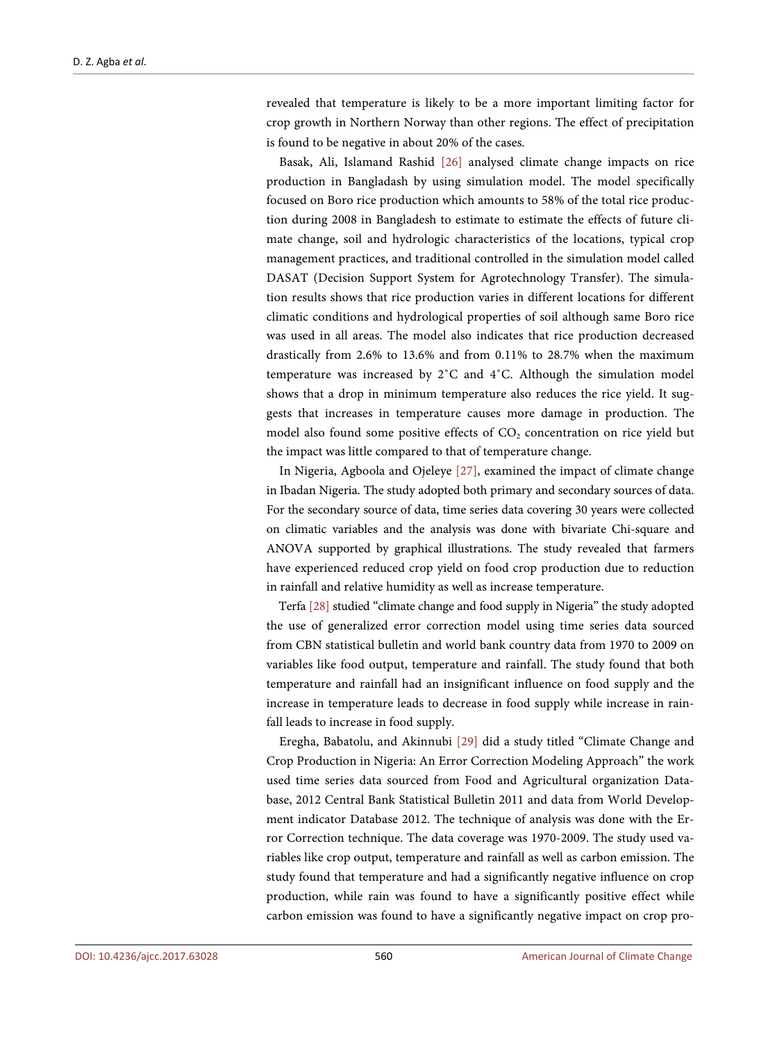revealed that temperature is likely to be a more important limiting factor for crop growth in Northern Norway than other regions. The effect of precipitation is found to be negative in about 20% of the cases.

Basak, Ali, Islamand Rashid [\[26\]](#page-16-15) analysed climate change impacts on rice production in Bangladash by using simulation model. The model specifically focused on Boro rice production which amounts to 58% of the total rice production during 2008 in Bangladesh to estimate to estimate the effects of future climate change, soil and hydrologic characteristics of the locations, typical crop management practices, and traditional controlled in the simulation model called DASAT (Decision Support System for Agrotechnology Transfer). The simulation results shows that rice production varies in different locations for different climatic conditions and hydrological properties of soil although same Boro rice was used in all areas. The model also indicates that rice production decreased drastically from 2.6% to 13.6% and from 0.11% to 28.7% when the maximum temperature was increased by 2˚C and 4˚C. Although the simulation model shows that a drop in minimum temperature also reduces the rice yield. It suggests that increases in temperature causes more damage in production. The model also found some positive effects of  $CO<sub>2</sub>$  concentration on rice yield but the impact was little compared to that of temperature change.

In Nigeria, Agboola and Ojeleye [\[27\],](#page-17-0) examined the impact of climate change in Ibadan Nigeria. The study adopted both primary and secondary sources of data. For the secondary source of data, time series data covering 30 years were collected on climatic variables and the analysis was done with bivariate Chi-square and ANOVA supported by graphical illustrations. The study revealed that farmers have experienced reduced crop yield on food crop production due to reduction in rainfall and relative humidity as well as increase temperature.

Terfa [\[28\]](#page-17-1) studied "climate change and food supply in Nigeria" the study adopted the use of generalized error correction model using time series data sourced from CBN statistical bulletin and world bank country data from 1970 to 2009 on variables like food output, temperature and rainfall. The study found that both temperature and rainfall had an insignificant influence on food supply and the increase in temperature leads to decrease in food supply while increase in rainfall leads to increase in food supply.

Eregha, Babatolu, and Akinnubi [\[29\]](#page-17-2) did a study titled "Climate Change and Crop Production in Nigeria: An Error Correction Modeling Approach" the work used time series data sourced from Food and Agricultural organization Database, 2012 Central Bank Statistical Bulletin 2011 and data from World Development indicator Database 2012. The technique of analysis was done with the Error Correction technique. The data coverage was 1970-2009. The study used variables like crop output, temperature and rainfall as well as carbon emission. The study found that temperature and had a significantly negative influence on crop production, while rain was found to have a significantly positive effect while carbon emission was found to have a significantly negative impact on crop pro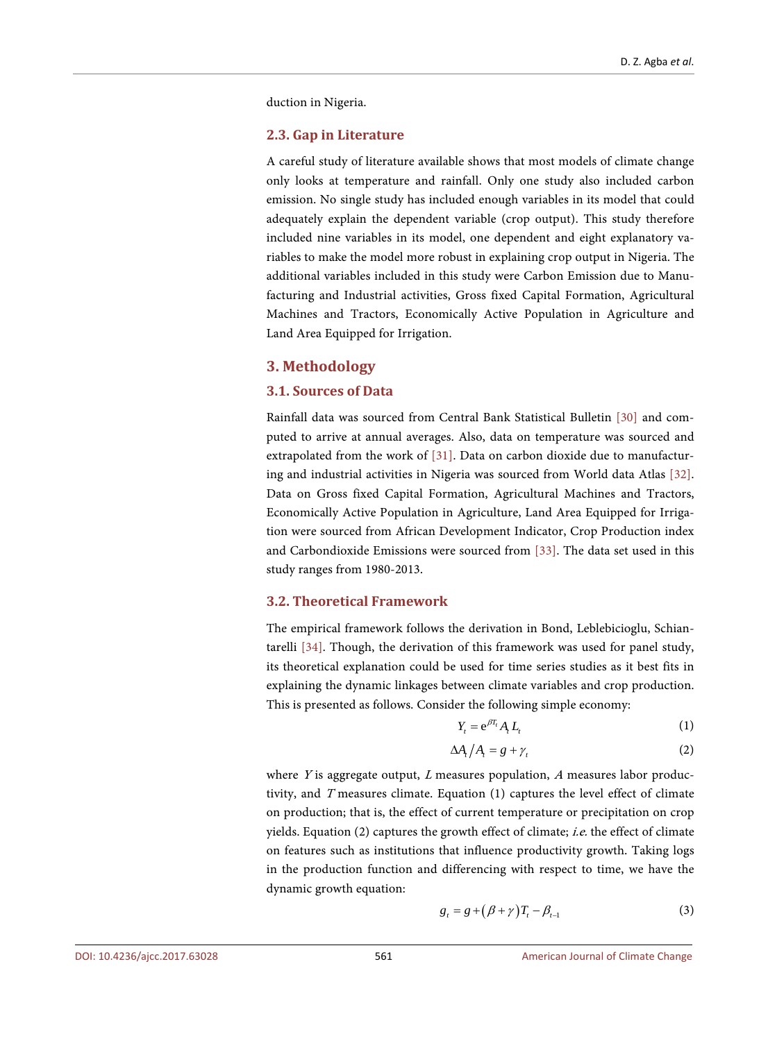duction in Nigeria.

#### **2.3. Gap in Literature**

A careful study of literature available shows that most models of climate change only looks at temperature and rainfall. Only one study also included carbon emission. No single study has included enough variables in its model that could adequately explain the dependent variable (crop output). This study therefore included nine variables in its model, one dependent and eight explanatory variables to make the model more robust in explaining crop output in Nigeria. The additional variables included in this study were Carbon Emission due to Manufacturing and Industrial activities, Gross fixed Capital Formation, Agricultural Machines and Tractors, Economically Active Population in Agriculture and Land Area Equipped for Irrigation.

#### **3. Methodology**

#### **3.1. Sources of Data**

Rainfall data was sourced from Central Bank Statistical Bulletin [\[30\]](#page-17-3) and computed to arrive at annual averages. Also, data on temperature was sourced and extrapolated from the work of [\[31\].](#page-17-4) Data on carbon dioxide due to manufacturing and industrial activities in Nigeria was sourced from World data Atlas [\[32\].](#page-17-5)  Data on Gross fixed Capital Formation, Agricultural Machines and Tractors, Economically Active Population in Agriculture, Land Area Equipped for Irrigation were sourced from African Development Indicator, Crop Production index and Carbondioxide Emissions were sourced from [\[33\].](#page-17-6) The data set used in this study ranges from 1980-2013.

#### **3.2. Theoretical Framework**

The empirical framework follows the derivation in Bond, Leblebicioglu, Schiantarelli [\[34\].](#page-17-7) Though, the derivation of this framework was used for panel study, its theoretical explanation could be used for time series studies as it best fits in explaining the dynamic linkages between climate variables and crop production. This is presented as follows. Consider the following simple economy:

$$
Y_t = e^{\beta T_t} A_t L_t \tag{1}
$$

$$
\Delta A_t / A_t = g + \gamma_t \tag{2}
$$

where  $Y$  is aggregate output,  $L$  measures population,  $A$  measures labor productivity, and T measures climate. Equation (1) captures the level effect of climate on production; that is, the effect of current temperature or precipitation on crop yields. Equation (2) captures the growth effect of climate; i.e. the effect of climate on features such as institutions that influence productivity growth. Taking logs in the production function and differencing with respect to time, we have the dynamic growth equation:

$$
g_t = g + (\beta + \gamma)T_t - \beta_{t-1} \tag{3}
$$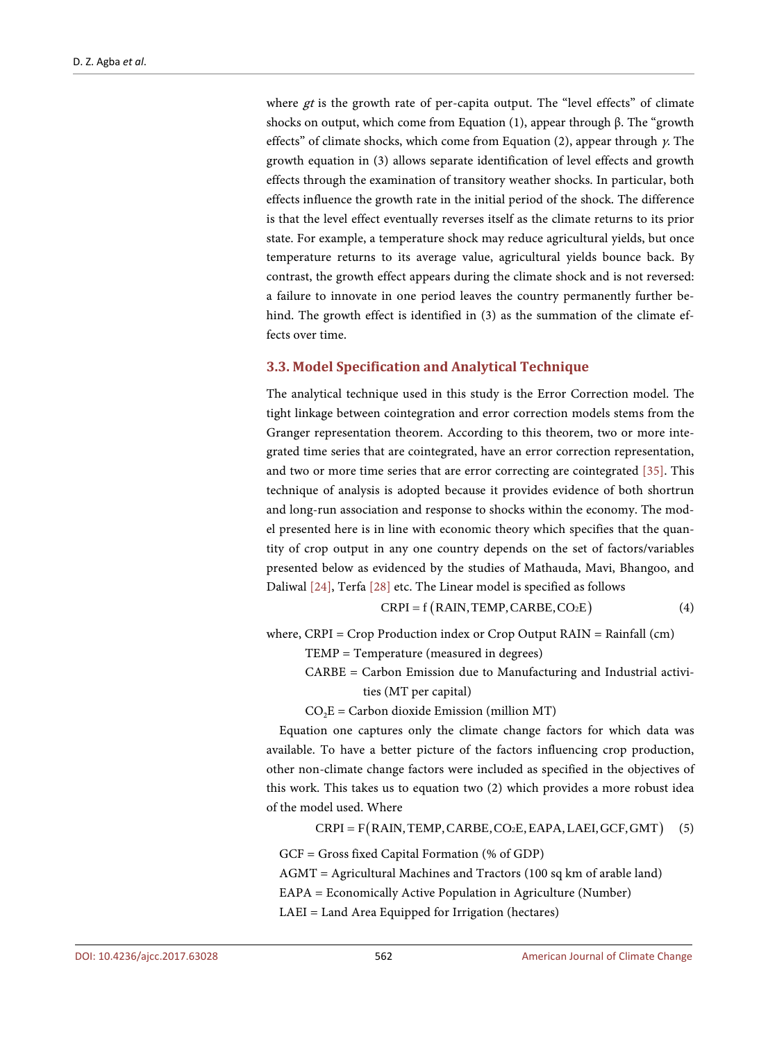where  $gt$  is the growth rate of per-capita output. The "level effects" of climate shocks on output, which come from Equation (1), appear through β. The "growth" effects" of climate shocks, which come from Equation (2), appear through  $\gamma$ . The growth equation in (3) allows separate identification of level effects and growth effects through the examination of transitory weather shocks. In particular, both effects influence the growth rate in the initial period of the shock. The difference is that the level effect eventually reverses itself as the climate returns to its prior state. For example, a temperature shock may reduce agricultural yields, but once temperature returns to its average value, agricultural yields bounce back. By contrast, the growth effect appears during the climate shock and is not reversed: a failure to innovate in one period leaves the country permanently further behind. The growth effect is identified in (3) as the summation of the climate effects over time.

#### **3.3. Model Specification and Analytical Technique**

The analytical technique used in this study is the Error Correction model. The tight linkage between cointegration and error correction models stems from the Granger representation theorem. According to this theorem, two or more integrated time series that are cointegrated, have an error correction representation, and two or more time series that are error correcting are cointegrated [\[35\].](#page-17-8) This technique of analysis is adopted because it provides evidence of both shortrun and long-run association and response to shocks within the economy. The model presented here is in line with economic theory which specifies that the quantity of crop output in any one country depends on the set of factors/variables presented below as evidenced by the studies of Mathauda, Mavi, Bhangoo, and Daliwal [\[24\],](#page-16-13) Terfa [\[28\]](#page-17-1) etc. The Linear model is specified as follows

$$
CRPI = f (RAIN, TEMP, CARBE, CO2E)
$$
 (4)

where,  $CRPI = Crop$  Production index or  $Crop$  Output  $RAIN = Rainfall$  (cm)

TEMP = Temperature (measured in degrees)

CARBE = Carbon Emission due to Manufacturing and Industrial activities (MT per capital)

 $CO<sub>2</sub>E = Carbon dioxide Emission (million MT)$ 

Equation one captures only the climate change factors for which data was available. To have a better picture of the factors influencing crop production, other non-climate change factors were included as specified in the objectives of this work. This takes us to equation two (2) which provides a more robust idea of the model used. Where

 $CRPI = F(RAIN, TEMP, CARBE, CO<sub>2</sub>E, EAPA, LAEI, GCF, GMT)$  (5)

GCF = Gross fixed Capital Formation (% of GDP)

AGMT = Agricultural Machines and Tractors (100 sq km of arable land)

EAPA = Economically Active Population in Agriculture (Number)

LAEI = Land Area Equipped for Irrigation (hectares)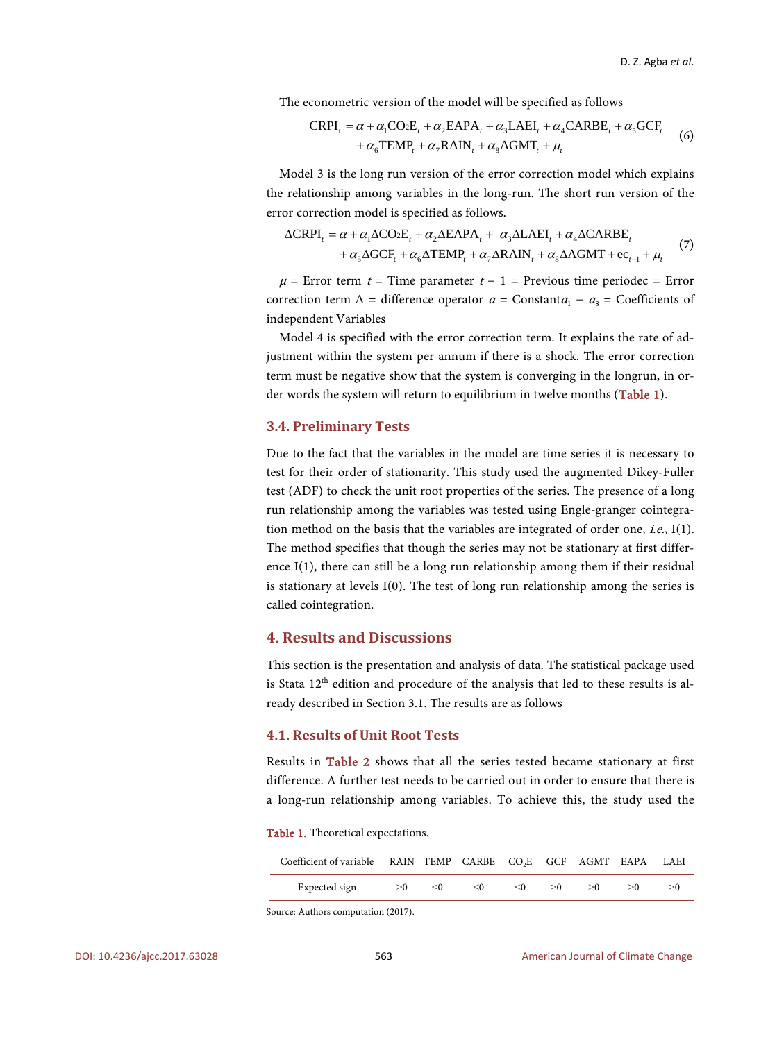The econometric version of the model will be specified as follows

$$
CRPI_{t} = \alpha + \alpha_{1}CO_{2}E_{t} + \alpha_{2}EAPA_{t} + \alpha_{3}LAEI_{t} + \alpha_{4}CARBE_{t} + \alpha_{5} GCF_{t}
$$
  
+  $\alpha_{6}TEMP_{t} + \alpha_{7}RAIN_{t} + \alpha_{8}AGMT_{t} + \mu_{t}$  (6)

Model 3 is the long run version of the error correction model which explains the relationship among variables in the long-run. The short run version of the error correction model is specified as follows.

$$
\Delta \text{CRPI}_{t} = \alpha + \alpha_{1} \Delta \text{CO}_{2} \text{E}_{t} + \alpha_{2} \Delta \text{E} \text{APA}_{t} + \alpha_{3} \Delta \text{L} \text{AEI}_{t} + \alpha_{4} \Delta \text{C} \text{AR} \text{BE}_{t} + \alpha_{5} \Delta \text{G} \text{CF}_{t} + \alpha_{6} \Delta \text{TE} \text{MP}_{t} + \alpha_{7} \Delta \text{RAIN}_{t} + \alpha_{8} \Delta \text{AG} \text{MT} + \text{ec}_{t-1} + \mu_{t}
$$
(7)

 $\mu$  = Error term t = Time parameter t – 1 = Previous time periodec = Error correction term  $\Delta$  = difference operator  $\alpha$  = Constant $\alpha_1 - \alpha_8$  = Coefficients of independent Variables

Model 4 is specified with the error correction term. It explains the rate of adjustment within the system per annum if there is a shock. The error correction term must be negative show that the system is converging in the longrun, in order words the system will return to equilibrium in twelve months [\(Table 1\)](#page-9-0).

#### **3.4. Preliminary Tests**

Due to the fact that the variables in the model are time series it is necessary to test for their order of stationarity. This study used the augmented Dikey-Fuller test (ADF) to check the unit root properties of the series. The presence of a long run relationship among the variables was tested using Engle-granger cointegration method on the basis that the variables are integrated of order one, i.e., I(1). The method specifies that though the series may not be stationary at first difference I(1), there can still be a long run relationship among them if their residual is stationary at levels I(0). The test of long run relationship among the series is called cointegration.

# **4. Results and Discussions**

This section is the presentation and analysis of data. The statistical package used is Stata  $12<sup>th</sup>$  edition and procedure of the analysis that led to these results is already described in Section 3.1. The results are as follows

#### **4.1. Results of Unit Root Tests**

Results in [Table 2](#page-10-0) shows that all the series tested became stationary at first difference. A further test needs to be carried out in order to ensure that there is a long-run relationship among variables. To achieve this, the study used the

<span id="page-9-0"></span>Table 1. Theoretical expectations.

| Coefficient of variable RAIN TEMP CARBE CO <sub>2</sub> E GCF AGMT EAPA LAEI |     |          |     |          |     |     |    |    |
|------------------------------------------------------------------------------|-----|----------|-----|----------|-----|-----|----|----|
| Expected sign                                                                | > 0 | $\leq 0$ | < 0 | $\leq 0$ | > 0 | > 0 | >0 | >0 |

Source: Authors computation (2017).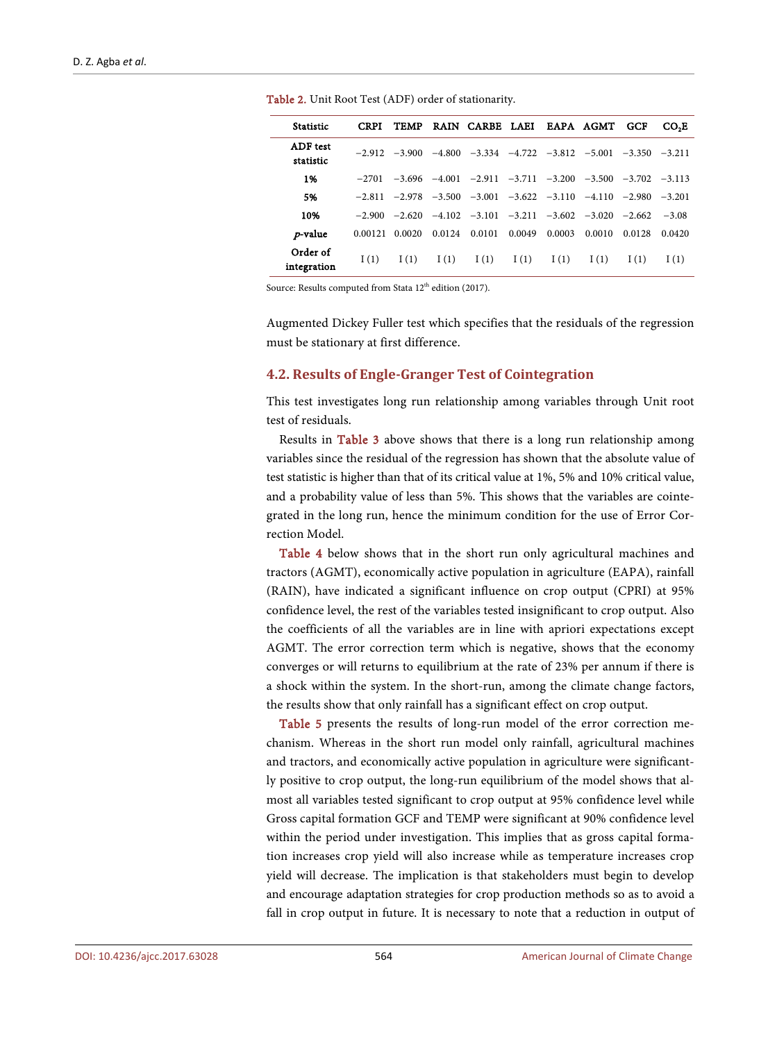| <b>Statistic</b>             | <b>CRPI</b>     | <b>TEMP</b> |        | RAIN CARBE LAEI                              |        |        | EAPA AGMT | <b>GCF</b>       | CO-E     |
|------------------------------|-----------------|-------------|--------|----------------------------------------------|--------|--------|-----------|------------------|----------|
| <b>ADF</b> test<br>statistic | $-2.912 -3.900$ |             |        | $-4.800$ $-3.334$ $-4.722$ $-3.812$ $-5.001$ |        |        |           | $-3.350 - 3.211$ |          |
| 1%                           | $-2701$         |             |        | $-3.696$ $-4.001$ $-2.911$ $-3.711$ $-3.200$ |        |        | $-3.500$  | $-3.702 - 3.113$ |          |
| 5%                           | $-2.811$        | $-2.978$    |        | $-3.500$ $-3.001$ $-3.622$ $-3.110$ $-4.110$ |        |        |           | $-2.980$         | $-3.201$ |
| 10%                          | $-2.900$        | $-2.620$    |        | $-4.102$ $-3.101$ $-3.211$ $-3.602$ $-3.020$ |        |        |           | $-2.662$         | $-3.08$  |
| <i>p</i> -value              | 0.00121         | 0.0020      | 0.0124 | 0.0101                                       | 0.0049 | 0.0003 | 0.0010    | 0.0128           | 0.0420   |
| Order of<br>integration      | I(1)            | I(1)        | I(1)   | I(1)                                         | I(1)   | I(1)   | I(1)      | I(1)             | I(1)     |

<span id="page-10-0"></span>Table 2. Unit Root Test (ADF) order of stationarity.

Source: Results computed from Stata 12<sup>th</sup> edition (2017).

Augmented Dickey Fuller test which specifies that the residuals of the regression must be stationary at first difference.

#### **4.2. Results of Engle-Granger Test of Cointegration**

This test investigates long run relationship among variables through Unit root test of residuals.

Results in [Table 3](#page-11-0) above shows that there is a long run relationship among variables since the residual of the regression has shown that the absolute value of test statistic is higher than that of its critical value at 1%, 5% and 10% critical value, and a probability value of less than 5%. This shows that the variables are cointegrated in the long run, hence the minimum condition for the use of Error Correction Model.

[Table 4](#page-11-1) below shows that in the short run only agricultural machines and tractors (AGMT), economically active population in agriculture (EAPA), rainfall (RAIN), have indicated a significant influence on crop output (CPRI) at 95% confidence level, the rest of the variables tested insignificant to crop output. Also the coefficients of all the variables are in line with apriori expectations except AGMT. The error correction term which is negative, shows that the economy converges or will returns to equilibrium at the rate of 23% per annum if there is a shock within the system. In the short-run, among the climate change factors, the results show that only rainfall has a significant effect on crop output.

[Table 5](#page-11-2) presents the results of long-run model of the error correction mechanism. Whereas in the short run model only rainfall, agricultural machines and tractors, and economically active population in agriculture were significantly positive to crop output, the long-run equilibrium of the model shows that almost all variables tested significant to crop output at 95% confidence level while Gross capital formation GCF and TEMP were significant at 90% confidence level within the period under investigation. This implies that as gross capital formation increases crop yield will also increase while as temperature increases crop yield will decrease. The implication is that stakeholders must begin to develop and encourage adaptation strategies for crop production methods so as to avoid a fall in crop output in future. It is necessary to note that a reduction in output of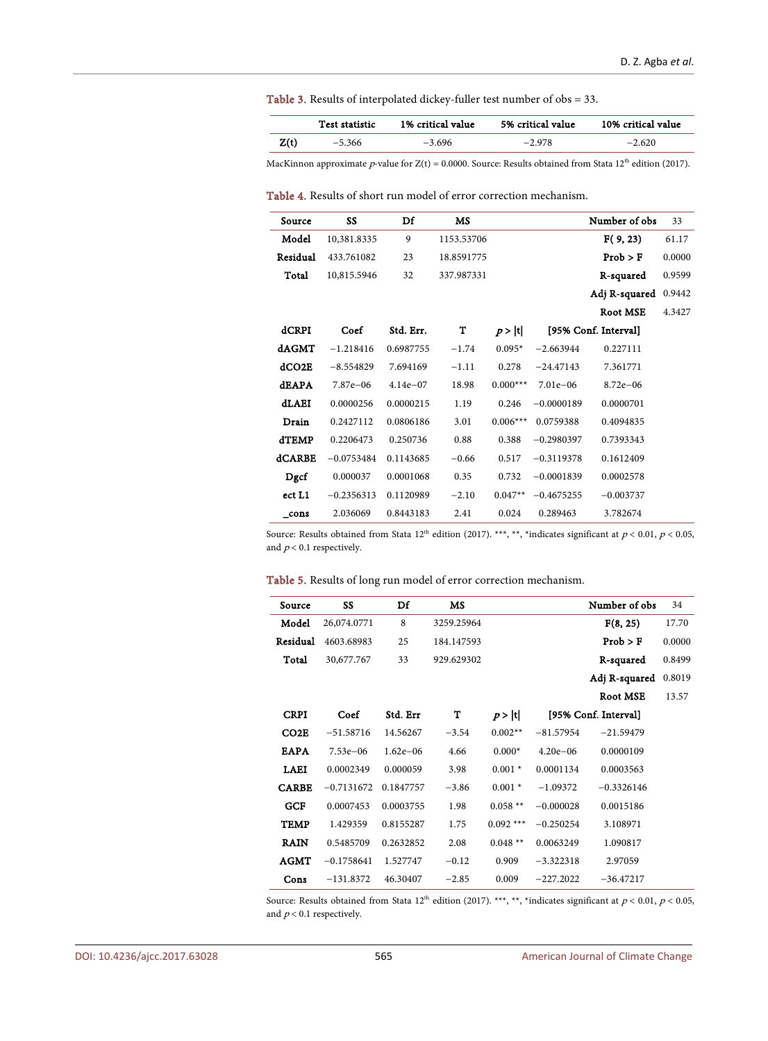<span id="page-11-0"></span>Table 3. Results of interpolated dickey-fuller test number of obs = 33.

|      | Test statistic | 1% critical value | 5% critical value | 10% critical value |
|------|----------------|-------------------|-------------------|--------------------|
| Z(t) | $-5.366$       | $-3.696$          | $-2.978$          | $-2.620$           |

MacKinnon approximate p-value for  $Z(t) = 0.0000$ . Source: Results obtained from Stata 12<sup>th</sup> edition (2017).

<span id="page-11-1"></span>Table 4. Results of short run model of error correction mechanism.

| Source        | SS           | Df         | MS         |            |              | Number of obs        | 33     |
|---------------|--------------|------------|------------|------------|--------------|----------------------|--------|
| Model         | 10,381.8335  | 9          | 1153.53706 |            |              | F(9, 23)             | 61.17  |
| Residual      | 433.761082   | 23         | 18.8591775 |            |              | Prob > F             | 0.0000 |
| Total         | 10,815.5946  | 32         | 337.987331 |            |              | R-squared            | 0.9599 |
|               |              |            |            |            |              | Adj R-squared        | 0.9442 |
|               |              |            |            |            |              | Root MSE             | 4.3427 |
| dCRPI         | Coef         | Std. Err.  | т          | p> t       |              | [95% Conf. Interval] |        |
| dAGMT         | $-1.218416$  | 0.6987755  | $-1.74$    | $0.095*$   | $-2.663944$  | 0.227111             |        |
| dCO2E         | $-8.554829$  | 7.694169   | $-1.11$    | 0.278      | $-24.47143$  | 7.361771             |        |
| <b>dEAPA</b>  | 7.87e-06     | $4.14e-07$ | 18.98      | $0.000***$ | $7.01e - 06$ | $8.72e - 06$         |        |
| dLAEI         | 0.0000256    | 0.0000215  | 1.19       | 0.246      | $-0.0000189$ | 0.0000701            |        |
| Drain         | 0.2427112    | 0.0806186  | 3.01       | $0.006***$ | 0.0759388    | 0.4094835            |        |
| <b>dTEMP</b>  | 0.2206473    | 0.250736   | 0.88       | 0.388      | $-0.2980397$ | 0.7393343            |        |
| dCARBE        | $-0.0753484$ | 0.1143685  | $-0.66$    | 0.517      | $-0.3119378$ | 0.1612409            |        |
| Dgcf          | 0.000037     | 0.0001068  | 0.35       | 0.732      | $-0.0001839$ | 0.0002578            |        |
| ect L1        | $-0.2356313$ | 0.1120989  | $-2.10$    | $0.047**$  | $-0.4675255$ | $-0.003737$          |        |
| $_{\rm cons}$ | 2.036069     | 0.8443183  | 2.41       | 0.024      | 0.289463     | 3.782674             |        |
|               |              |            |            |            |              |                      |        |

Source: Results obtained from Stata  $12^{\text{th}}$  edition (2017). \*\*\*, \*\*, \*indicates significant at  $p < 0.01$ ,  $p < 0.05$ , and  $p\! < 0.1$  respectively.

<span id="page-11-2"></span>Table 5. Results of long run model of error correction mechanism.

| Source           | SS           | Df           | <b>MS</b>  |             |              | Number of obs        | 34     |
|------------------|--------------|--------------|------------|-------------|--------------|----------------------|--------|
| Model            | 26,074.0771  | 8            | 3259.25964 |             |              | F(8, 25)             | 17.70  |
| Residual         | 4603.68983   | 25           | 184.147593 |             |              | Prob > F             | 0.0000 |
| Total            | 30,677.767   | 33           | 929.629302 |             |              | R-squared            | 0.8499 |
|                  |              |              |            |             |              | Adj R-squared        | 0.8019 |
|                  |              |              |            |             |              | Root MSE             | 13.57  |
| <b>CRPI</b>      | Coef         | Std. Err     | т          | p> t        |              | [95% Conf. Interval] |        |
| CO <sub>2E</sub> | $-51.58716$  | 14.56267     | $-3.54$    | $0.002**$   | $-81.57954$  | $-21.59479$          |        |
| <b>EAPA</b>      | $7.53e - 06$ | $1.62e - 06$ | 4.66       | $0.000*$    | $4.20e - 06$ | 0.0000109            |        |
| <b>LAEI</b>      | 0.0002349    | 0.000059     | 3.98       | $0.001*$    | 0.0001134    | 0.0003563            |        |
| <b>CARBE</b>     | $-0.7131672$ | 0.1847757    | $-3.86$    | $0.001*$    | $-1.09372$   | $-0.3326146$         |        |
| <b>GCF</b>       | 0.0007453    | 0.0003755    | 1.98       | $0.058**$   | $-0.000028$  | 0.0015186            |        |
| TEMP             | 1.429359     | 0.8155287    | 1.75       | $0.092$ *** | $-0.250254$  | 3.108971             |        |
| <b>RAIN</b>      | 0.5485709    | 0.2632852    | 2.08       | $0.048**$   | 0.0063249    | 1.090817             |        |
| AGMT             | $-0.1758641$ | 1.527747     | $-0.12$    | 0.909       | $-3.322318$  | 2.97059              |        |
| Cons             | $-131.8372$  | 46.30407     | $-2.85$    | 0.009       | $-227.2022$  | $-36.47217$          |        |

Source: Results obtained from Stata  $12^{\text{th}}$  edition (2017). \*\*\*, \*\*, \*indicates significant at  $p < 0.01$ ,  $p < 0.05$ , and  $p\! < 0.1$  respectively.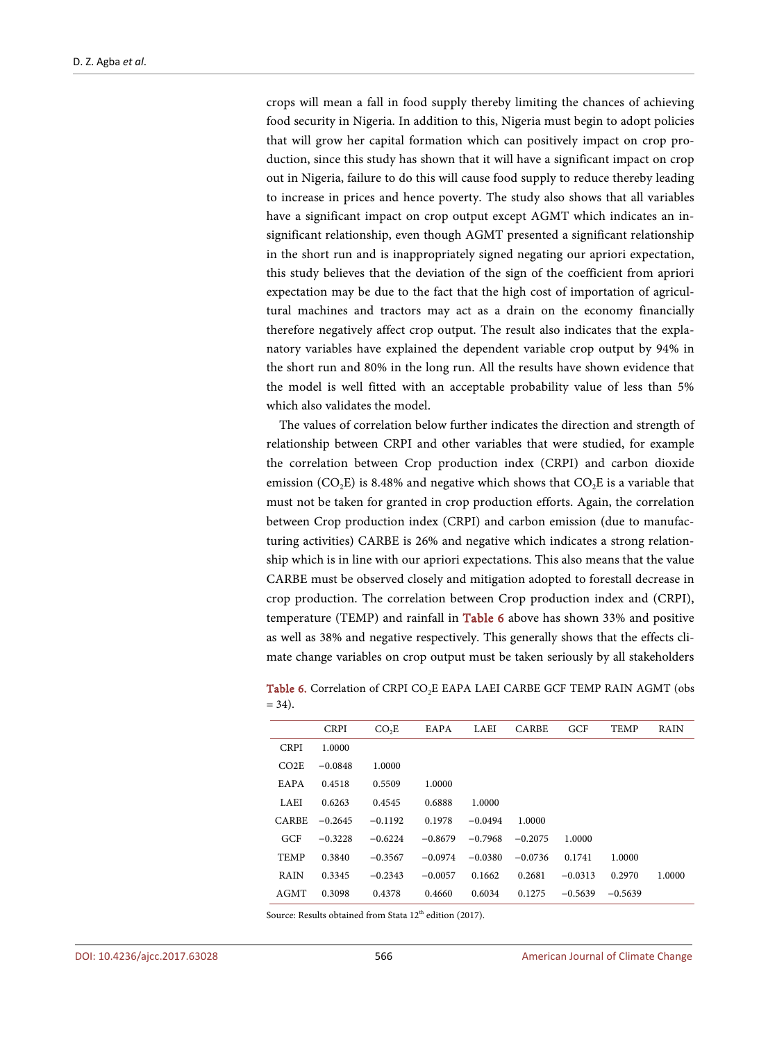crops will mean a fall in food supply thereby limiting the chances of achieving food security in Nigeria. In addition to this, Nigeria must begin to adopt policies that will grow her capital formation which can positively impact on crop production, since this study has shown that it will have a significant impact on crop out in Nigeria, failure to do this will cause food supply to reduce thereby leading to increase in prices and hence poverty. The study also shows that all variables have a significant impact on crop output except AGMT which indicates an insignificant relationship, even though AGMT presented a significant relationship in the short run and is inappropriately signed negating our apriori expectation, this study believes that the deviation of the sign of the coefficient from apriori expectation may be due to the fact that the high cost of importation of agricultural machines and tractors may act as a drain on the economy financially therefore negatively affect crop output. The result also indicates that the explanatory variables have explained the dependent variable crop output by 94% in the short run and 80% in the long run. All the results have shown evidence that the model is well fitted with an acceptable probability value of less than 5% which also validates the model.

The values of correlation below further indicates the direction and strength of relationship between CRPI and other variables that were studied, for example the correlation between Crop production index (CRPI) and carbon dioxide emission (CO<sub>2</sub>E) is 8.48% and negative which shows that  $CO<sub>2</sub>E$  is a variable that must not be taken for granted in crop production efforts. Again, the correlation between Crop production index (CRPI) and carbon emission (due to manufacturing activities) CARBE is 26% and negative which indicates a strong relationship which is in line with our apriori expectations. This also means that the value CARBE must be observed closely and mitigation adopted to forestall decrease in crop production. The correlation between Crop production index and (CRPI), temperature (TEMP) and rainfall in [Table 6](#page-12-0) above has shown 33% and positive as well as 38% and negative respectively. This generally shows that the effects climate change variables on crop output must be taken seriously by all stakeholders

|                  | <b>CRPI</b> | CO <sub>2</sub> E | EAPA      | LAEI      | <b>CARBE</b> | GCF       | <b>TEMP</b> | RAIN   |
|------------------|-------------|-------------------|-----------|-----------|--------------|-----------|-------------|--------|
| <b>CRPI</b>      | 1.0000      |                   |           |           |              |           |             |        |
| CO <sub>2E</sub> | $-0.0848$   | 1.0000            |           |           |              |           |             |        |
| EAPA             | 0.4518      | 0.5509            | 1.0000    |           |              |           |             |        |
| LAEI             | 0.6263      | 0.4545            | 0.6888    | 1.0000    |              |           |             |        |
| <b>CARBE</b>     | $-0.2645$   | $-0.1192$         | 0.1978    | $-0.0494$ | 1.0000       |           |             |        |
| GCF              | $-0.3228$   | $-0.6224$         | $-0.8679$ | $-0.7968$ | $-0.2075$    | 1.0000    |             |        |
| <b>TEMP</b>      | 0.3840      | $-0.3567$         | $-0.0974$ | $-0.0380$ | $-0.0736$    | 0.1741    | 1.0000      |        |
| RAIN             | 0.3345      | $-0.2343$         | $-0.0057$ | 0.1662    | 0.2681       | $-0.0313$ | 0.2970      | 1.0000 |
| AGMT             | 0.3098      | 0.4378            | 0.4660    | 0.6034    | 0.1275       | $-0.5639$ | $-0.5639$   |        |

<span id="page-12-0"></span>Table 6. Correlation of CRPI CO<sub>2</sub>E EAPA LAEI CARBE GCF TEMP RAIN AGMT (obs  $= 34$ ).

Source: Results obtained from Stata 12<sup>th</sup> edition (2017).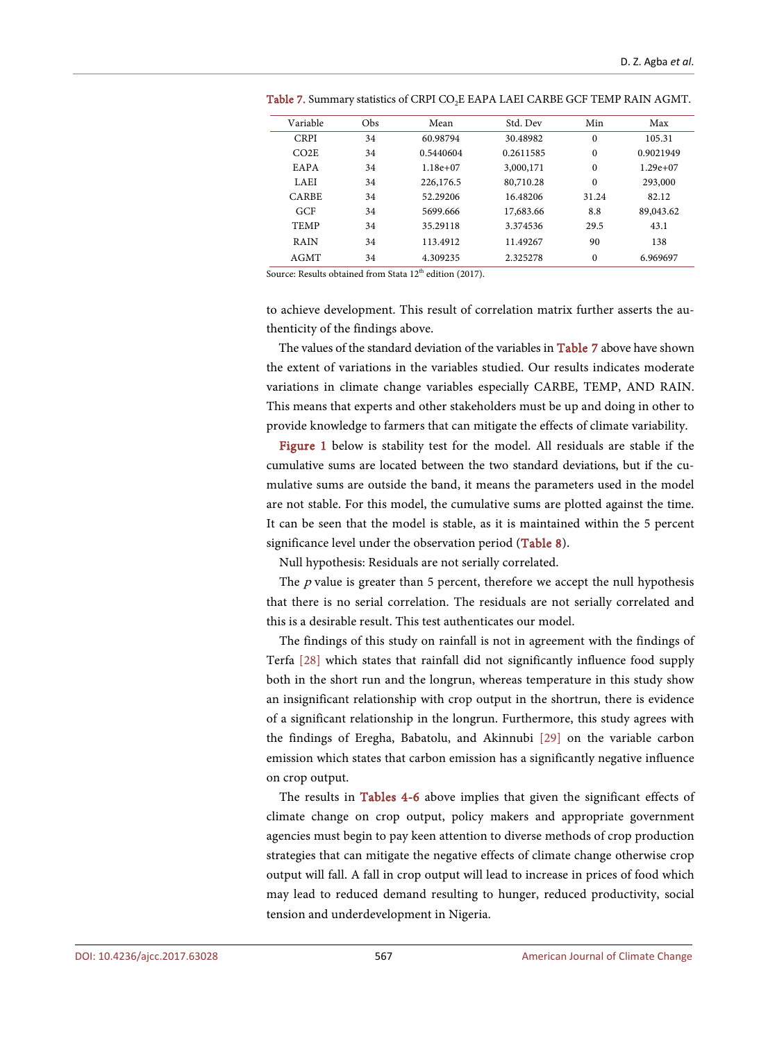| Variable         | Obs | Mean       | Std. Dev  | Min          | Max        |
|------------------|-----|------------|-----------|--------------|------------|
| <b>CRPI</b>      | 34  | 60.98794   | 30.48982  | $\mathbf{0}$ | 105.31     |
| CO <sub>2E</sub> | 34  | 0.5440604  | 0.2611585 | $\mathbf{0}$ | 0.9021949  |
| EAPA             | 34  | $1.18e+07$ | 3,000,171 | $\Omega$     | $1.29e+07$ |
| <b>LAEI</b>      | 34  | 226,176.5  | 80,710.28 | $\mathbf{0}$ | 293,000    |
| CARBE            | 34  | 52.29206   | 16.48206  | 31.24        | 82.12      |
| GCF              | 34  | 5699.666   | 17,683.66 | 8.8          | 89,043.62  |
| <b>TEMP</b>      | 34  | 35.29118   | 3.374536  | 29.5         | 43.1       |
| <b>RAIN</b>      | 34  | 113.4912   | 11.49267  | 90           | 138        |
| AGMT             | 34  | 4.309235   | 2.325278  | $\mathbf{0}$ | 6.969697   |

<span id="page-13-0"></span>Table 7. Summary statistics of CRPI CO<sub>2</sub>E EAPA LAEI CARBE GCF TEMP RAIN AGMT.

Source: Results obtained from Stata  $12<sup>th</sup>$  edition (2017).

to achieve development. This result of correlation matrix further asserts the authenticity of the findings above.

The values of the standard deviation of the variables in [Table 7](#page-13-0) above have shown the extent of variations in the variables studied. Our results indicates moderate variations in climate change variables especially CARBE, TEMP, AND RAIN. This means that experts and other stakeholders must be up and doing in other to provide knowledge to farmers that can mitigate the effects of climate variability.

[Figure 1](#page-14-0) below is stability test for the model. All residuals are stable if the cumulative sums are located between the two standard deviations, but if the cumulative sums are outside the band, it means the parameters used in the model are not stable. For this model, the cumulative sums are plotted against the time. It can be seen that the model is stable, as it is maintained within the 5 percent significance level under the observation period [\(Table 8\)](#page-14-1).

Null hypothesis: Residuals are not serially correlated.

The  $p$  value is greater than 5 percent, therefore we accept the null hypothesis that there is no serial correlation. The residuals are not serially correlated and this is a desirable result. This test authenticates our model.

The findings of this study on rainfall is not in agreement with the findings of Terfa [\[28\]](#page-17-1) which states that rainfall did not significantly influence food supply both in the short run and the longrun, whereas temperature in this study show an insignificant relationship with crop output in the shortrun, there is evidence of a significant relationship in the longrun. Furthermore, this study agrees with the findings of Eregha, Babatolu, and Akinnubi [\[29\]](#page-17-2) on the variable carbon emission which states that carbon emission has a significantly negative influence on crop output.

The results in [Tables 4-6](#page-11-1) above implies that given the significant effects of climate change on crop output, policy makers and appropriate government agencies must begin to pay keen attention to diverse methods of crop production strategies that can mitigate the negative effects of climate change otherwise crop output will fall. A fall in crop output will lead to increase in prices of food which may lead to reduced demand resulting to hunger, reduced productivity, social tension and underdevelopment in Nigeria.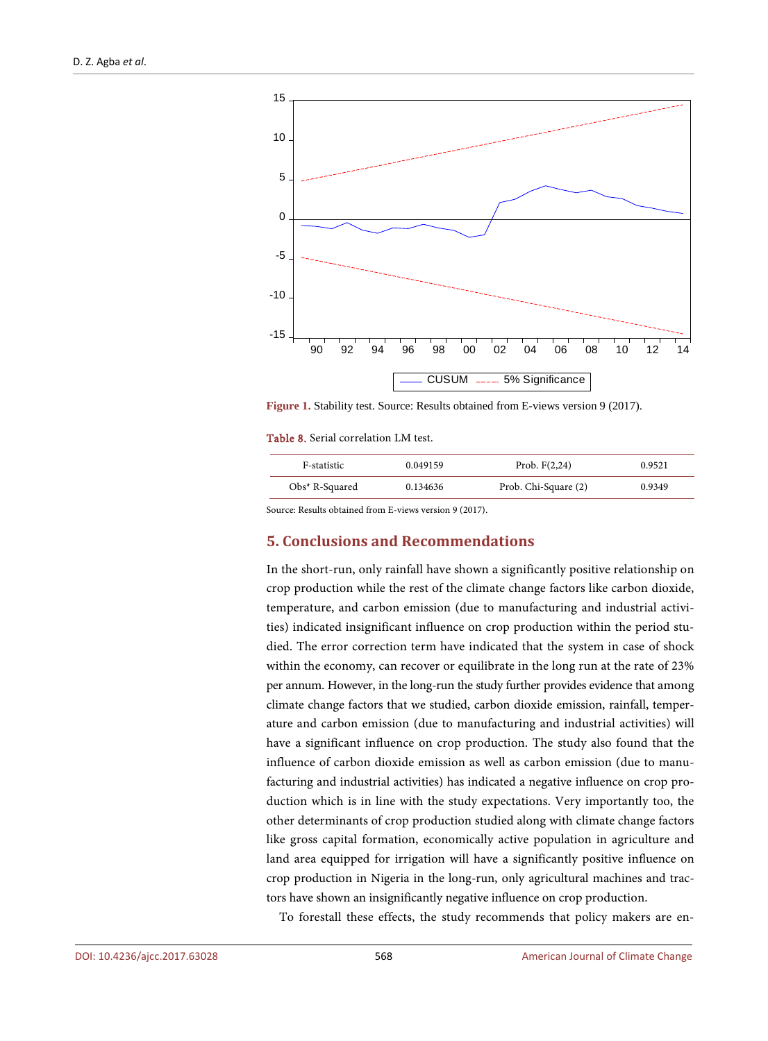<span id="page-14-0"></span>

**Figure 1.** Stability test. Source: Results obtained from E-views version 9 (2017).

<span id="page-14-1"></span>Table 8. Serial correlation LM test.

| F-statistic      | 0.049159 | Prob. $F(2,24)$      | 0.9521 |
|------------------|----------|----------------------|--------|
| $Obs*$ R-Squared | 0.134636 | Prob. Chi-Square (2) | 0.9349 |

Source: Results obtained from E-views version 9 (2017).

# **5. Conclusions and Recommendations**

In the short-run, only rainfall have shown a significantly positive relationship on crop production while the rest of the climate change factors like carbon dioxide, temperature, and carbon emission (due to manufacturing and industrial activities) indicated insignificant influence on crop production within the period studied. The error correction term have indicated that the system in case of shock within the economy, can recover or equilibrate in the long run at the rate of 23% per annum. However, in the long-run the study further provides evidence that among climate change factors that we studied, carbon dioxide emission, rainfall, temperature and carbon emission (due to manufacturing and industrial activities) will have a significant influence on crop production. The study also found that the influence of carbon dioxide emission as well as carbon emission (due to manufacturing and industrial activities) has indicated a negative influence on crop production which is in line with the study expectations. Very importantly too, the other determinants of crop production studied along with climate change factors like gross capital formation, economically active population in agriculture and land area equipped for irrigation will have a significantly positive influence on crop production in Nigeria in the long-run, only agricultural machines and tractors have shown an insignificantly negative influence on crop production.

To forestall these effects, the study recommends that policy makers are en-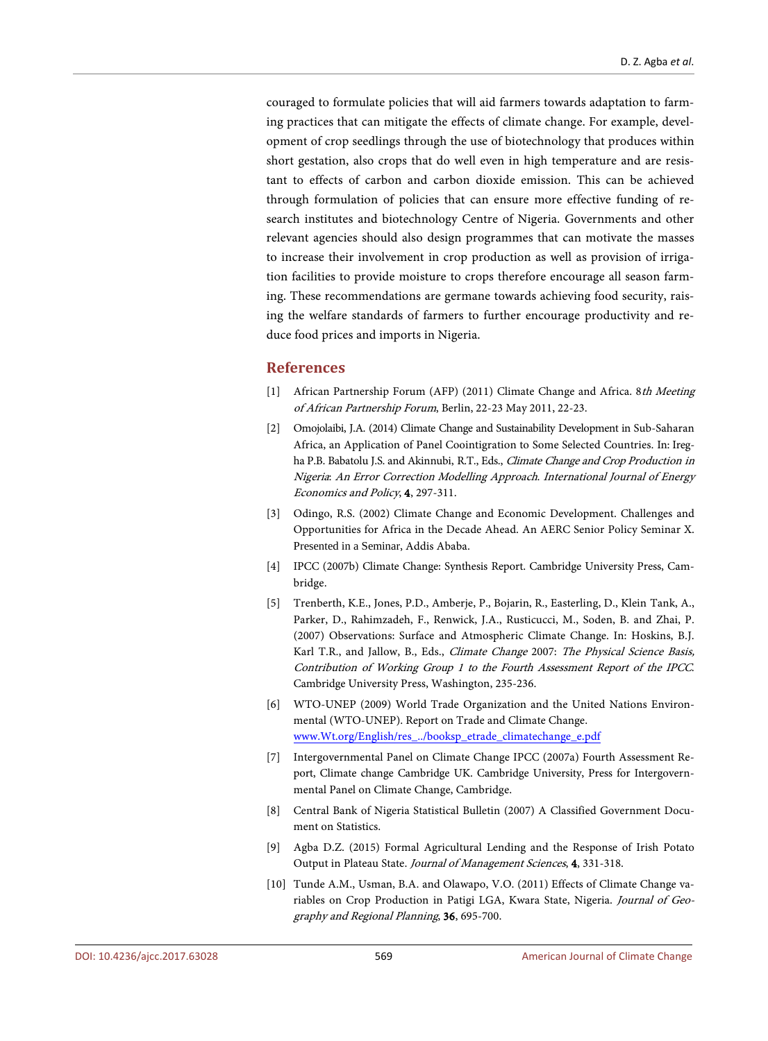couraged to formulate policies that will aid farmers towards adaptation to farming practices that can mitigate the effects of climate change. For example, development of crop seedlings through the use of biotechnology that produces within short gestation, also crops that do well even in high temperature and are resistant to effects of carbon and carbon dioxide emission. This can be achieved through formulation of policies that can ensure more effective funding of research institutes and biotechnology Centre of Nigeria. Governments and other relevant agencies should also design programmes that can motivate the masses to increase their involvement in crop production as well as provision of irrigation facilities to provide moisture to crops therefore encourage all season farming. These recommendations are germane towards achieving food security, raising the welfare standards of farmers to further encourage productivity and reduce food prices and imports in Nigeria.

#### **References**

- <span id="page-15-0"></span>African Partnership Forum (AFP) (2011) Climate Change and Africa. 8th Meeting of African Partnership Forum, Berlin, 22-23 May 2011, 22-23.
- <span id="page-15-1"></span>[2] Omojolaibi, J.A. (2014) Climate Change and Sustainability Development in Sub-Saharan Africa, an Application of Panel Coointigration to Some Selected Countries. In: Iregha P.B. Babatolu J.S. and Akinnubi, R.T., Eds., *Climate Change and Crop Production in* Nigeria: An Error Correction Modelling Approach. International Journal of Energy Economics and Policy, 4, 297-311.
- <span id="page-15-2"></span>[3] Odingo, R.S. (2002) Climate Change and Economic Development. Challenges and Opportunities for Africa in the Decade Ahead. An AERC Senior Policy Seminar X. Presented in a Seminar, Addis Ababa.
- <span id="page-15-3"></span>[4] IPCC (2007b) Climate Change: Synthesis Report. Cambridge University Press, Cambridge.
- <span id="page-15-4"></span>[5] Trenberth, K.E., Jones, P.D., Amberje, P., Bojarin, R., Easterling, D., Klein Tank, A., Parker, D., Rahimzadeh, F., Renwick, J.A., Rusticucci, M., Soden, B. and Zhai, P. (2007) Observations: Surface and Atmospheric Climate Change. In: Hoskins, B.J. Karl T.R., and Jallow, B., Eds., Climate Change 2007: The Physical Science Basis, Contribution of Working Group 1 to the Fourth Assessment Report of the IPCC. Cambridge University Press, Washington, 235-236.
- <span id="page-15-5"></span>[6] WTO-UNEP (2009) World Trade Organization and the United Nations Environmental (WTO-UNEP). Report on Trade and Climate Change. [www.Wt.org/English/res\\_../booksp\\_etrade\\_climatechange\\_e.pdf](http://www.wt.org/English/res_../booksp_etrade_climatechange_e.pdf)
- <span id="page-15-6"></span>[7] Intergovernmental Panel on Climate Change IPCC (2007a) Fourth Assessment Report, Climate change Cambridge UK. Cambridge University, Press for Intergovernmental Panel on Climate Change, Cambridge.
- <span id="page-15-7"></span>[8] Central Bank of Nigeria Statistical Bulletin (2007) A Classified Government Document on Statistics.
- <span id="page-15-8"></span>[9] Agba D.Z. (2015) Formal Agricultural Lending and the Response of Irish Potato Output in Plateau State. Journal of Management Sciences, 4, 331-318.
- <span id="page-15-9"></span>[10] Tunde A.M., Usman, B.A. and Olawapo, V.O. (2011) Effects of Climate Change variables on Crop Production in Patigi LGA, Kwara State, Nigeria. Journal of Geography and Regional Planning, 36, 695-700.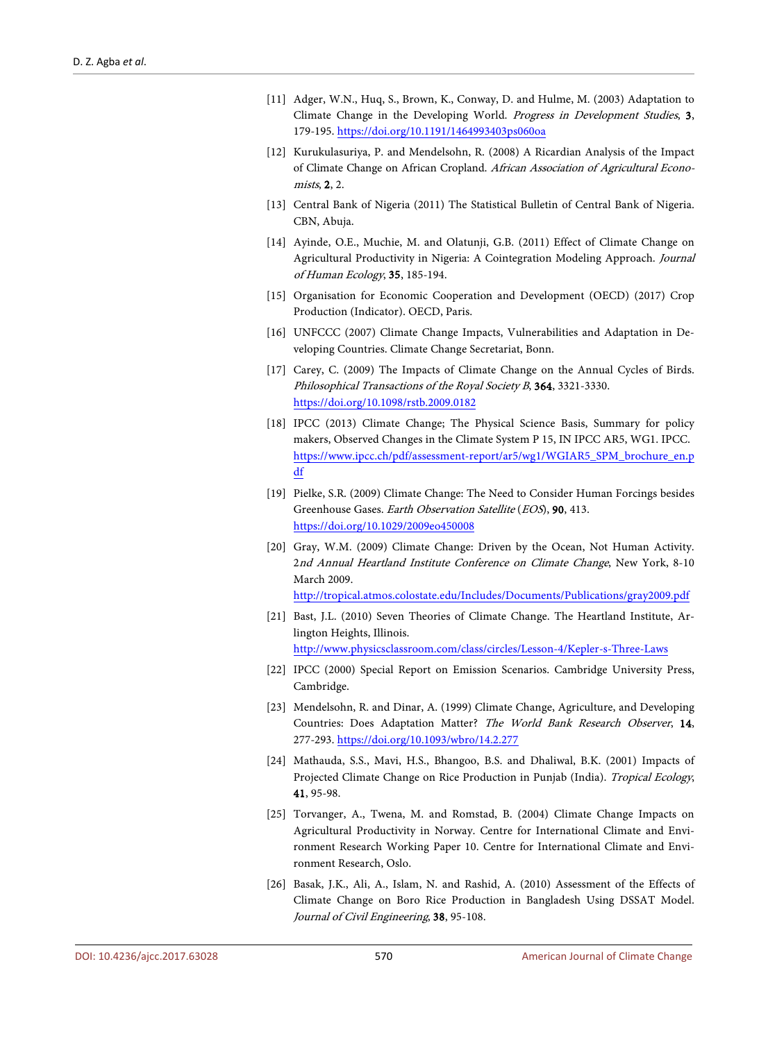- <span id="page-16-0"></span>[11] Adger, W.N., Huq, S., Brown, K., Conway, D. and Hulme, M. (2003) Adaptation to Climate Change in the Developing World. Progress in Development Studies, 3, 179-195[. https://doi.org/10.1191/1464993403ps060oa](https://doi.org/10.1191/1464993403ps060oa)
- <span id="page-16-1"></span>[12] Kurukulasuriya, P. and Mendelsohn, R. (2008) A Ricardian Analysis of the Impact of Climate Change on African Cropland. African Association of Agricultural Economists, 2, 2.
- <span id="page-16-2"></span>[13] Central Bank of Nigeria (2011) The Statistical Bulletin of Central Bank of Nigeria. CBN, Abuja.
- <span id="page-16-3"></span>[14] Ayinde, O.E., Muchie, M. and Olatunji, G.B. (2011) Effect of Climate Change on Agricultural Productivity in Nigeria: A Cointegration Modeling Approach. Journal of Human Ecology, 35, 185-194.
- <span id="page-16-4"></span>[15] Organisation for Economic Cooperation and Development (OECD) (2017) Crop Production (Indicator). OECD, Paris.
- <span id="page-16-5"></span>[16] UNFCCC (2007) Climate Change Impacts, Vulnerabilities and Adaptation in Developing Countries. Climate Change Secretariat, Bonn.
- <span id="page-16-6"></span>[17] Carey, C. (2009) The Impacts of Climate Change on the Annual Cycles of Birds. Philosophical Transactions of the Royal Society B, 364, 3321-3330. <https://doi.org/10.1098/rstb.2009.0182>
- <span id="page-16-7"></span>[18] IPCC (2013) Climate Change; The Physical Science Basis, Summary for policy makers, Observed Changes in the Climate System P 15, IN IPCC AR5, WG1. IPCC. [https://www.ipcc.ch/pdf/assessment-report/ar5/wg1/WGIAR5\\_SPM\\_brochure\\_en.p](https://www.ipcc.ch/pdf/assessment-report/ar5/wg1/WGIAR5_SPM_brochure_en.pdf) [df](https://www.ipcc.ch/pdf/assessment-report/ar5/wg1/WGIAR5_SPM_brochure_en.pdf)
- <span id="page-16-8"></span>[19] Pielke, S.R. (2009) Climate Change: The Need to Consider Human Forcings besides Greenhouse Gases. Earth Observation Satellite (EOS), 90, 413. <https://doi.org/10.1029/2009eo450008>
- <span id="page-16-9"></span>[20] Gray, W.M. (2009) Climate Change: Driven by the Ocean, Not Human Activity. 2nd Annual Heartland Institute Conference on Climate Change, New York, 8-10 March 2009.

<http://tropical.atmos.colostate.edu/Includes/Documents/Publications/gray2009.pdf>

- <span id="page-16-10"></span>[21] Bast, J.L. (2010) Seven Theories of Climate Change. The Heartland Institute, Arlington Heights, Illinois. <http://www.physicsclassroom.com/class/circles/Lesson-4/Kepler-s-Three-Laws>
- <span id="page-16-11"></span>[22] IPCC (2000) Special Report on Emission Scenarios. Cambridge University Press, Cambridge.
- <span id="page-16-12"></span>[23] Mendelsohn, R. and Dinar, A. (1999) Climate Change, Agriculture, and Developing Countries: Does Adaptation Matter? The World Bank Research Observer, 14, 277-293. <https://doi.org/10.1093/wbro/14.2.277>
- <span id="page-16-13"></span>[24] Mathauda, S.S., Mavi, H.S., Bhangoo, B.S. and Dhaliwal, B.K. (2001) Impacts of Projected Climate Change on Rice Production in Punjab (India). Tropical Ecology, 41, 95-98.
- <span id="page-16-14"></span>[25] Torvanger, A., Twena, M. and Romstad, B. (2004) Climate Change Impacts on Agricultural Productivity in Norway. Centre for International Climate and Environment Research Working Paper 10. Centre for International Climate and Environment Research, Oslo.
- <span id="page-16-15"></span>[26] Basak, J.K., Ali, A., Islam, N. and Rashid, A. (2010) Assessment of the Effects of Climate Change on Boro Rice Production in Bangladesh Using DSSAT Model. Journal of Civil Engineering, 38, 95-108.